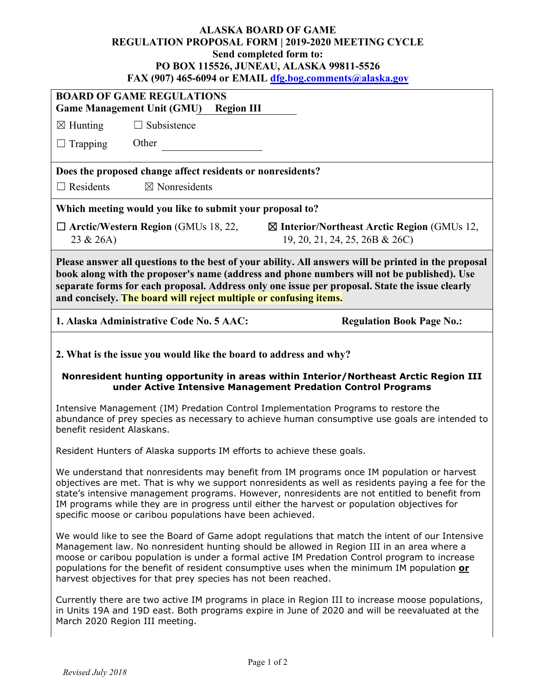## **ALASKA BOARD OF GAME REGULATION PROPOSAL FORM | 2019-2020 MEETING CYCLE Send completed form to: PO BOX 115526, JUNEAU, ALASKA 99811-5526 FAX (907) 465-6094 or EMAIL [dfg.bog.comments@alaska.gov](mailto:dfg.bog.comments@alaska.gov)**

| <b>BOARD OF GAME REGULATIONS</b><br><b>Game Management Unit (GMU)</b><br><b>Region III</b>                                                                                                                                                                                                                                                                                                                                                                    |  |  |  |  |  |
|---------------------------------------------------------------------------------------------------------------------------------------------------------------------------------------------------------------------------------------------------------------------------------------------------------------------------------------------------------------------------------------------------------------------------------------------------------------|--|--|--|--|--|
| $\Box$ Subsistence<br>$\boxtimes$ Hunting                                                                                                                                                                                                                                                                                                                                                                                                                     |  |  |  |  |  |
| Other<br>$\Box$ Trapping                                                                                                                                                                                                                                                                                                                                                                                                                                      |  |  |  |  |  |
|                                                                                                                                                                                                                                                                                                                                                                                                                                                               |  |  |  |  |  |
| Does the proposed change affect residents or nonresidents?                                                                                                                                                                                                                                                                                                                                                                                                    |  |  |  |  |  |
| $\Box$ Residents<br>$\boxtimes$ Nonresidents                                                                                                                                                                                                                                                                                                                                                                                                                  |  |  |  |  |  |
| Which meeting would you like to submit your proposal to?                                                                                                                                                                                                                                                                                                                                                                                                      |  |  |  |  |  |
| $\Box$ Arctic/Western Region (GMUs 18, 22,<br>$\boxtimes$ Interior/Northeast Arctic Region (GMUs 12,<br>23 & 26A)<br>19, 20, 21, 24, 25, 26B & 26C)                                                                                                                                                                                                                                                                                                           |  |  |  |  |  |
| Please answer all questions to the best of your ability. All answers will be printed in the proposal<br>book along with the proposer's name (address and phone numbers will not be published). Use<br>separate forms for each proposal. Address only one issue per proposal. State the issue clearly<br>and concisely. The board will reject multiple or confusing items.                                                                                     |  |  |  |  |  |
| 1. Alaska Administrative Code No. 5 AAC:<br><b>Regulation Book Page No.:</b>                                                                                                                                                                                                                                                                                                                                                                                  |  |  |  |  |  |
| 2. What is the issue you would like the board to address and why?                                                                                                                                                                                                                                                                                                                                                                                             |  |  |  |  |  |
| Nonresident hunting opportunity in areas within Interior/Northeast Arctic Region III<br>under Active Intensive Management Predation Control Programs                                                                                                                                                                                                                                                                                                          |  |  |  |  |  |
| Intensive Management (IM) Predation Control Implementation Programs to restore the<br>abundance of prey species as necessary to achieve human consumptive use goals are intended to<br>benefit resident Alaskans.                                                                                                                                                                                                                                             |  |  |  |  |  |
| Resident Hunters of Alaska supports IM efforts to achieve these goals.                                                                                                                                                                                                                                                                                                                                                                                        |  |  |  |  |  |
| We understand that nonresidents may benefit from IM programs once IM population or harvest<br>objectives are met. That is why we support nonresidents as well as residents paying a fee for the<br>state's intensive management programs. However, nonresidents are not entitled to benefit from<br>IM programs while they are in progress until either the harvest or population objectives for<br>specific moose or caribou populations have been achieved. |  |  |  |  |  |
| We would like to see the Board of Game adopt regulations that match the intent of our Intensive<br>Management law. No nonresident hunting should be allowed in Region III in an area where a<br>moose or caribou population is under a formal active IM Predation Control program to increase<br>populations for the benefit of resident consumptive uses when the minimum IM population or<br>harvest objectives for that prey species has not been reached. |  |  |  |  |  |
| Currently there are two active IM programs in place in Region III to increase moose populations,<br>in Units 19A and 19D east. Both programs expire in June of 2020 and will be reevaluated at the<br>March 2020 Region III meeting.                                                                                                                                                                                                                          |  |  |  |  |  |